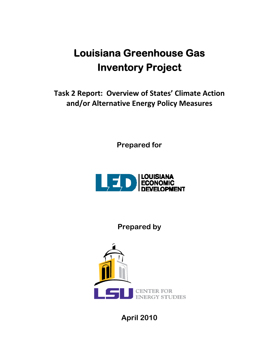# **Louisiana Greenhouse Gas Inventory Project**

**Task 2 Report: Overview of States' Climate Action and/or Alternative Energy Policy Measures**

**Prepared for** 



**Prepared by** 



**April 2010**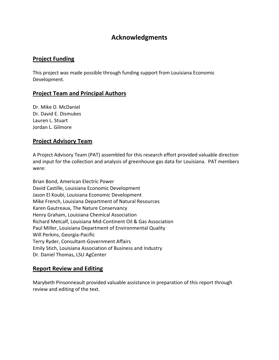## **Acknowledgments**

## **Project Funding**

This project was made possible through funding support from Louisiana Economic Development.

## **Project Team and Principal Authors**

Dr. Mike D. McDaniel Dr. David E. Dismukes Lauren L. Stuart Jordan L. Gilmore

#### **Project Advisory Team**

A Project Advisory Team (PAT) assembled for this research effort provided valuable direction and input for the collection and analysis of greenhouse gas data for Louisiana. PAT members were:

Brian Bond, American Electric Power David Castille, Louisiana Economic Development Jason El Koubi, Louisiana Economic Development Mike French, Louisiana Department of Natural Resources Karen Gautreaux, The Nature Conservancy Henry Graham, Louisiana Chemical Association Richard Metcalf, Louisiana Mid‐Continent Oil & Gas Association Paul Miller, Louisiana Department of Environmental Quality Will Perkins, Georgia‐Pacific Terry Ryder, Consultant‐Government Affairs Emily Stich, Louisiana Association of Business and Industry Dr. Daniel Thomas, LSU AgCenter

## **Report Review and Editing**

Marybeth Pinsonneault provided valuable assistance in preparation of this report through review and editing of the text.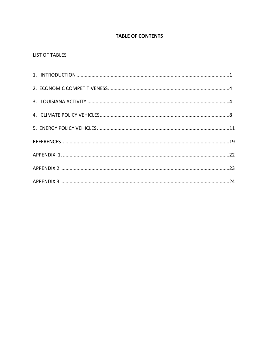## **TABLE OF CONTENTS**

### **LIST OF TABLES**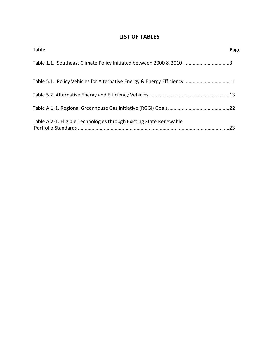## **LIST OF TABLES**

| <b>Table</b>                                                             | Page |
|--------------------------------------------------------------------------|------|
| Table 1.1. Southeast Climate Policy Initiated between 2000 & 2010 3      |      |
| Table 5.1. Policy Vehicles for Alternative Energy & Energy Efficiency 11 |      |
|                                                                          |      |
|                                                                          |      |
| Table A.2-1. Eligible Technologies through Existing State Renewable      |      |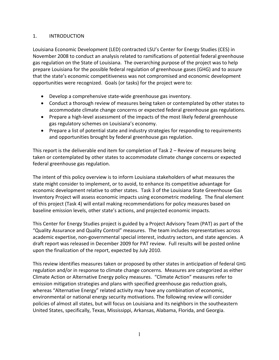#### 1. INTRODUCTION

Louisiana Economic Development (LED) contracted LSU's Center for Energy Studies (CES) in November 2008 to conduct an analysis related to ramifications of potential federal greenhouse gas regulation on the State of Louisiana. The overarching purpose of the project was to help prepare Louisiana for the possible federal regulation of greenhouse gases (GHG) and to assure that the state's economic competitiveness was not compromised and economic development opportunities were recognized. Goals (or tasks) for the project were to:

- Develop a comprehensive state‐wide greenhouse gas inventory.
- Conduct a thorough review of measures being taken or contemplated by other states to accommodate climate change concerns or expected federal greenhouse gas regulations.
- Prepare a high-level assessment of the impacts of the most likely federal greenhouse gas regulatory schemes on Louisiana's economy.
- Prepare a list of potential state and industry strategies for responding to requirements and opportunities brought by federal greenhouse gas regulation.

This report is the deliverable end item for completion of Task 2 – Review of measures being taken or contemplated by other states to accommodate climate change concerns or expected federal greenhouse gas regulation.

The intent of this policy overview is to inform Louisiana stakeholders of what measures the state might consider to implement, or to avoid, to enhance its competitive advantage for economic development relative to other states. Task 3 of the Louisiana State Greenhouse Gas Inventory Project will assess economic impacts using econometric modeling. The final element of this project (Task 4) will entail making recommendations for policy measures based on baseline emission levels, other state's actions, and projected economic impacts.

This Center for Energy Studies project is guided by a Project Advisory Team (PAT) as part of the "Quality Assurance and Quality Control" measures. The team includes representatives across academic expertise, non‐governmental special interest, industry sectors, and state agencies. A draft report was released in December 2009 for PAT review. Full results will be posted online upon the finalization of the report, expected by July 2010.

This review identifies measures taken or proposed by other states in anticipation of federal GHG regulation and/or in response to climate change concerns. Measures are categorized as either Climate Action or Alternative Energy policy measures. "Climate Action" measures refer to emission mitigation strategies and plans with specified greenhouse gas reduction goals, whereas "Alternative Energy" related activity may have any combination of economic, environmental or national energy security motivations. The following review will consider policies of almost all states, but will focus on Louisiana and its neighbors in the southeastern United States, specifically, Texas, Mississippi, Arkansas, Alabama, Florida, and Georgia.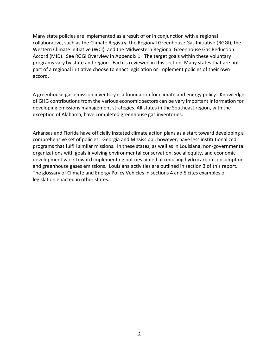Many state policies are implemented as a result of or in conjunction with a regional collaborative, such as the Climate Registry, the Regional Greenhouse Gas Initiative (RGGI), the Western Climate Initiative (WCI), and the Midwestern Regional Greenhouse Gas Reduction Accord (MID). See RGGI Overview in Appendix 1. The target goals within these voluntary programs vary by state and region. Each is reviewed in this section. Many states that are not part of a regional initiative choose to enact legislation or implement policies of their own accord.

A greenhouse‐gas emission inventory is a foundation for climate and energy policy. Knowledge of GHG contributions from the various economic sectors can be very important information for developing emissions management strategies. All states in the Southeast region, with the exception of Alabama, have completed greenhouse gas inventories.

Arkansas and Florida have officially instated climate action plans as a start toward developing a comprehensive set of policies. Georgia and Mississippi, however, have less institutionalized programs that fulfill similar missions. In these states, as well as in Louisiana, non‐governmental organizations with goals involving environmental conservation, social equity, and economic development work toward implementing policies aimed at reducing hydrocarbon consumption and greenhouse gases emissions. Louisiana activities are outlined in section 3 of this report. The glossary of Climate and Energy Policy Vehicles in sections 4 and 5 cites examples of legislation enacted in other states.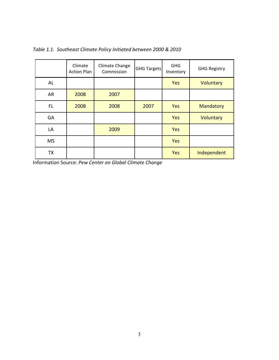|           | Climate<br><b>Action Plan</b> | Climate Change<br>Commission | <b>GHG Targets</b> | <b>GHG</b><br>Inventory | <b>GHG Registry</b> |
|-----------|-------------------------------|------------------------------|--------------------|-------------------------|---------------------|
| AL        |                               |                              |                    | Yes                     | Voluntary           |
| AR        | 2008                          | 2007                         |                    |                         |                     |
| FL        | 2008                          | 2008                         | 2007               | Yes                     | Mandatory           |
| GA        |                               |                              |                    | Yes                     | Voluntary           |
| LA        |                               | 2009                         |                    | Yes                     |                     |
| <b>MS</b> |                               |                              |                    | Yes                     |                     |
| TX        |                               |                              |                    | Yes                     | Independent         |

*Table 1.1. Southeast Climate Policy Initiated between 2000 & 2010*

Information Source: *Pew Center on Global Climate Change*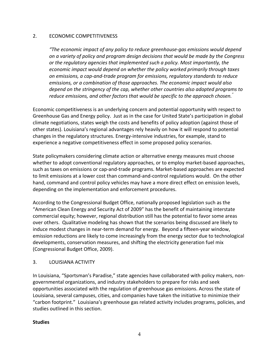#### 2. ECONOMIC COMPETITIVENESS

*"The economic impact of any policy to reduce greenhouse‐gas emissions would depend on a variety of policy and program design decisions that would be made by the Congress or the regulatory agencies that implemented such a policy. Most importantly, the economic impact would depend on whether the policy worked primarily through taxes on emissions, a cap‐and‐trade program for emissions, regulatory standards to reduce emissions, or a combination of those approaches. The economic impact would also depend on the stringency of the cap, whether other countries also adopted programs to reduce emissions, and other factors that would be specific to the approach chosen."*

Economic competitiveness is an underlying concern and potential opportunity with respect to Greenhouse Gas and Energy policy. Just as in the case for United State's participation in global climate negotiations, states weigh the costs and benefits of policy adoption (against those of other states). Louisiana's regional advantages rely heavily on how it will respond to potential changes in the regulatory structures. Energy‐intensive industries, for example, stand to experience a negative competitiveness effect in some proposed policy scenarios.

State policymakers considering climate action or alternative energy measures must choose whether to adopt conventional regulatory approaches, or to employ market-based approaches, such as taxes on emissions or cap‐and‐trade programs. Market‐based approaches are expected to limit emissions at a lower cost than command‐and‐control regulations would. On the other hand, command and control policy vehicles may have a more direct effect on emission levels, depending on the implementation and enforcement procedures.

According to the Congressional Budget Office, nationally proposed legislation such as the "American Clean Energy and Security Act of 2009" has the benefit of maintaining interstate commercial equity; however, regional distribution still has the potential to favor some areas over others. Qualitative modeling has shown that the scenarios being discussed are likely to induce modest changes in near‐term demand for energy. Beyond a fifteen‐year window, emission reductions are likely to come increasingly from the energy sector due to technological developments, conservation measures, and shifting the electricity generation fuel mix (Congressional Budget Office, 2009).

#### 3. LOUISIANA ACTIVITY

In Louisiana, "Sportsman's Paradise," state agencies have collaborated with policy makers, non‐ governmental organizations, and industry stakeholders to prepare for risks and seek opportunities associated with the regulation of greenhouse gas emissions. Across the state of Louisiana, several campuses, cities, and companies have taken the initiative to minimize their "carbon footprint." Louisiana's greenhouse gas related activity includes programs, policies, and studies outlined in this section.

#### **Studies**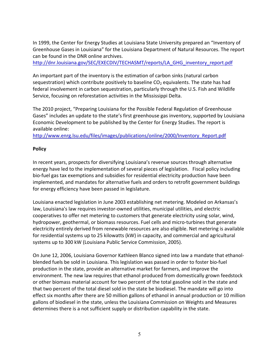In 1999, the Center for Energy Studies at Louisiana State University prepared an "Inventory of Greenhouse Gases in Louisiana" for the Louisiana Department of Natural Resources. The report can be found in the DNR online archives.

http://dnr.louisiana.gov/SEC/EXECDIV/TECHASMT/reports/LA\_GHG\_inventory\_report.pdf

An important part of the inventory is the estimation of carbon sinks (natural carbon sequestration) which contribute positively to baseline  $CO<sub>2</sub>$  equivalents. The state has had federal involvement in carbon sequestration, particularly through the U.S. Fish and Wildlife Service, focusing on reforestation activities in the Mississippi Delta.

The 2010 project, "Preparing Louisiana for the Possible Federal Regulation of Greenhouse Gases" includes an update to the state's first greenhouse gas inventory, supported by Louisiana Economic Development to be published by the Center for Energy Studies. The report is available online:

http://www.enrg.lsu.edu/files/images/publications/online/2000/Inventory\_Report.pdf

#### **Policy**

In recent years, prospects for diversifying Louisiana's revenue sources through alternative energy have led to the implementation of several pieces of legislation. Fiscal policy including bio-fuel gas tax exemptions and subsidies for residential electricity production have been implemented, and mandates for alternative fuels and orders to retrofit government buildings for energy efficiency have been passed in legislature.

Louisiana enacted legislation in June 2003 establishing net metering. Modeled on Arkansas's law, Louisiana's law requires investor‐owned utilities, municipal utilities, and electric cooperatives to offer net metering to customers that generate electricity using solar, wind, hydropower, geothermal, or biomass resources. Fuel cells and micro-turbines that generate electricity entirely derived from renewable resources are also eligible. Net metering is available for residential systems up to 25 kilowatts (kW) in capacity, and commercial and agricultural systems up to 300 kW (Louisiana Public Service Commission, 2005).

On June 12, 2006, Louisiana Governor Kathleen Blanco signed into law a mandate that ethanol‐ blended fuels be sold in Louisiana. This legislation was passed in order to foster bio‐fuel production in the state, provide an alternative market for farmers, and improve the environment. The new law requires that ethanol produced from domestically grown feedstock or other biomass material account for two percent of the total gasoline sold in the state and that two percent of the total diesel sold in the state be biodiesel. The mandate will go into effect six months after there are 50 million gallons of ethanol in annual production or 10 million gallons of biodiesel in the state, unless the Louisiana Commission on Weights and Measures determines there is a not sufficient supply or distribution capability in the state.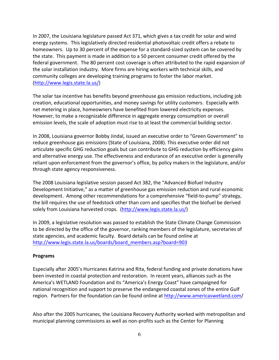In 2007, the Louisiana legislature passed Act 371, which gives a tax credit for solar and wind energy systems. This legislatively directed residential photovoltaic credit offers a rebate to homeowners. Up to 30 percent of the expense for a standard‐sized system can be covered by the state. This payment is made in addition to a 50 percent consumer credit offered by the federal government. The 80 percent cost coverage is often attributed to the rapid expansion of the solar installation industry. More firms are hiring workers with technical skills, and community colleges are developing training programs to foster the labor market. (http://www.legis.state.la.us/)

The solar tax incentive has benefits beyond greenhouse gas emission reductions, including job creation, educational opportunities, and money savings for utility customers. Especially with net metering in place, homeowners have benefited from lowered electricity expenses. However, to make a recognizable difference in aggregate energy consumption or overall emission levels, the scale of adoption must rise to at least the commercial building sector.

In 2008, Louisiana governor Bobby Jindal, issued an executive order to "Green Government" to reduce greenhouse gas emissions (State of Louisiana, 2008). This executive order did not articulate specific GHG reduction goals but can contribute to GHG reduction by efficiency gains and alternative energy use. The effectiveness and endurance of an executive order is generally reliant upon enforcement from the governor's office, by policy makers in the legislature, and/or through state agency responsiveness.

The 2008 Louisiana legislative session passed Act 382, the "Advanced Biofuel Industry Development Initiative," as a matter of greenhouse gas emission reduction and rural economic development. Among other recommendations for a comprehensive "field‐to‐pump" strategy, the bill requires the use of feedstock other than corn and specifies that the biofuel be derived solely from Louisiana harvested crops. (http://www.legis.state.la.us/)

In 2009, a legislative resolution was passed to establish the State Climate Change Commission to be directed by the office of the governor, ranking members of the legislature, secretaries of state agencies, and academic faculty. Board details can be found online at http://www.legis.state.la.us/boards/board\_members.asp?board=903

#### **Programs**

Especially after 2005's Hurricanes Katrina and Rita, federal funding and private donations have been invested in coastal protection and restoration. In recent years, alliances such as the America's WETLAND Foundation and its "America's Energy Coast" have campaigned for national recognition and support to preserve the endangered coastal zones of the entire Gulf region. Partners for the foundation can be found online at http://www.americaswetland.com/

Also after the 2005 hurricanes, the Louisiana Recovery Authority worked with metropolitan and municipal planning commissions as well as non‐profits such as the Center for Planning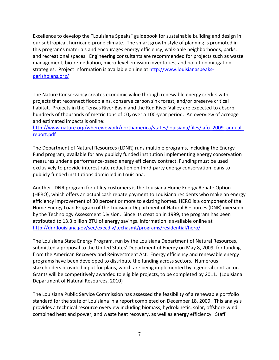Excellence to develop the "Louisiana Speaks" guidebook for sustainable building and design in our subtropical, hurricane‐prone climate. The smart growth style of planning is promoted in this program's materials and encourages energy efficiency, walk‐able neighborhoods, parks, and recreational spaces. Engineering consultants are recommended for projects such as waste management, bio-remediation, micro-level emission inventories, and pollution mitigation strategies. Project information is available online at http://www.louisianaspeaksparishplans.org/

The Nature Conservancy creates economic value through renewable energy credits with projects that reconnect floodplains, conserve carbon sink forest, and/or preserve critical habitat. Projects in the Tensas River Basin and the Red River Valley are expected to absorb hundreds of thousands of metric tons of  $CO<sub>2</sub>$  over a 100-year period. An overview of acreage and estimated impacts is online:

http://www.nature.org/wherewework/northamerica/states/louisiana/files/lafo\_2009\_annual\_ report.pdf

The Department of Natural Resources (LDNR) runs multiple programs, including the Energy Fund program, available for any publicly funded institution implementing energy conservation measures under a performance‐based energy efficiency contract. Funding must be used exclusively to provide interest rate reduction on third‐party energy conservation loans to publicly funded institutions domiciled in Louisiana.

Another LDNR program for utility customers is the Louisiana Home Energy Rebate Option (HERO), which offers an actual cash rebate payment to Louisiana residents who make an energy efficiency improvement of 30 percent or more to existing homes. HERO is a component of the Home Energy Loan Program of the Louisiana Department of Natural Resources (DNR) overseen by the Technology Assessment Division. Since its creation in 1999, the program has been attributed to 13.3 billion BTU of energy savings. Information is available online at http://dnr.louisiana.gov/sec/execdiv/techasmt/programs/residential/hero/

The Louisiana State Energy Program, run by the Louisiana Department of Natural Resources, submitted a proposal to the United States' Department of Energy on May 8, 2009, for funding from the American Recovery and Reinvestment Act. Energy efficiency and renewable energy programs have been developed to distribute the funding across sectors. Numerous stakeholders provided input for plans, which are being implemented by a general contractor. Grants will be competitively awarded to eligible projects, to be completed by 2011. (Louisiana Department of Natural Resources, 2010)

The Louisiana Public Service Commission has assessed the feasibility of a renewable portfolio standard for the state of Louisiana in a report completed on December 18, 2009. This analysis provides a technical resource overview including biomass, hydrokinetic, solar, offshore wind, combined heat and power, and waste heat recovery, as well as energy efficiency. Staff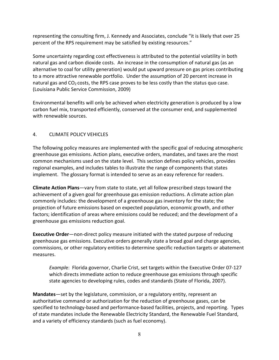representing the consulting firm, J. Kennedy and Associates, conclude "it is likely that over 25 percent of the RPS requirement may be satisfied by existing resources."

Some uncertainty regarding cost effectiveness is attributed to the potential volatility in both natural gas and carbon dioxide costs. An increase in the consumption of natural gas (as an alternative to coal for utility generation) would put upward pressure on gas prices contributing to a more attractive renewable portfolio. Under the assumption of 20 percent increase in natural gas and  $CO<sub>2</sub> \text{costs}$ , the RPS case proves to be less costly than the status quo case. (Louisiana Public Service Commission, 2009)

Environmental benefits will only be achieved when electricity generation is produced by a low carbon fuel mix, transported efficiently, conserved at the consumer end, and supplemented with renewable sources.

## 4. CLIMATE POLICY VEHICLES

The following policy measures are implemented with the specific goal of reducing atmospheric greenhouse gas emissions. Action plans, executive orders, mandates, and taxes are the most common mechanisms used on the state level. This section defines policy vehicles, provides regional examples, and includes tables to illustrate the range of components that states implement. The glossary format is intended to serve as an easy reference for readers.

**Climate Action Plans**—vary from state to state, yet all follow prescribed steps toward the achievement of a given goal for greenhouse gas emission reductions. A climate action plan commonly includes: the development of a greenhouse gas inventory for the state; the projection of future emissions based on expected population, economic growth, and other factors; identification of areas where emissions could be reduced; and the development of a greenhouse gas emissions reduction goal.

**Executive Order**—non‐direct policy measure initiated with the stated purpose of reducing greenhouse gas emissions. Executive orders generally state a broad goal and charge agencies, commissions, or other regulatory entities to determine specific reduction targets or abatement measures.

*Exampl*e: Florida governor, Charlie Crist, set targets within the Executive Order 07‐127 which directs immediate action to reduce greenhouse gas emissions through specific state agencies to developing rules, codes and standards (State of Florida, 2007).

**Mandates**—set by the legislature, commission, or a regulatory entity, represent an authoritative command or authorization for the reduction of greenhouse gases, can be specified to technology-based and performance-based facilities, projects, and reporting. Types of state mandates include the Renewable Electricity Standard, the Renewable Fuel Standard, and a variety of efficiency standards (such as fuel economy).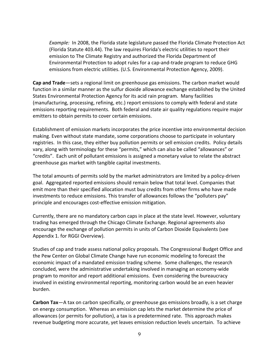*Example:* In 2008, the Florida state legislature passed the Florida Climate Protection Act (Florida Statute 403.44). The law requires Florida's electric utilities to report their emission to The Climate Registry and authorized the Florida Department of Environmental Protection to adopt rules for a cap‐and‐trade program to reduce GHG emissions from electric utilities. (U.S. Environmental Protection Agency, 2009).

**Cap and Trade**—sets a regional limit on greenhouse gas emissions. The carbon market would function in a similar manner as the sulfur dioxide allowance exchange established by the United States Environmental Protection Agency for its acid rain program. Many facilities (manufacturing, processing, refining, etc.) report emissions to comply with federal and state emissions reporting requirements. Both federal and state air quality regulations require major emitters to obtain permits to cover certain emissions.

Establishment of emission markets incorporates the price incentive into environmental decision making. Even without state mandate, some corporations choose to participate in voluntary registries. In this case, they either buy pollution permits or sell emission credits. Policy details vary, along with terminology for these "permits," which can also be called "allowances" or "credits". Each unit of pollutant emissions is assigned a monetary value to relate the abstract greenhouse gas market with tangible capital investments.

The total amounts of permits sold by the market administrators are limited by a policy‐driven goal. Aggregated reported emissions should remain below that total level. Companies that emit more than their specified allocation must buy credits from other firms who have made investments to reduce emissions. This transfer of allowances follows the "polluters pay" principle and encourages cost-effective emission mitigation.

Currently, there are no mandatory carbon caps in place at the state level. However, voluntary trading has emerged through the Chicago Climate Exchange. Regional agreements also encourage the exchange of pollution permits in units of Carbon Dioxide Equivalents (see Appendix 1. for RGGI Overview).

Studies of cap and trade assess national policy proposals. The Congressional Budget Office and the Pew Center on Global Climate Change have run economic modeling to forecast the economic impact of a mandated emission trading scheme. Some challenges, the research concluded, were the administrative undertaking involved in managing an economy‐wide program to monitor and report additional emissions. Even considering the bureaucracy involved in existing environmental reporting, monitoring carbon would be an even heavier burden.

**Carbon Tax**—A tax on carbon specifically, or greenhouse gas emissions broadly, is a set charge on energy consumption. Whereas an emission cap lets the market determine the price of allowances (or permits for pollution), a tax is a predetermined rate. This approach makes revenue budgeting more accurate, yet leaves emission reduction levels uncertain. To achieve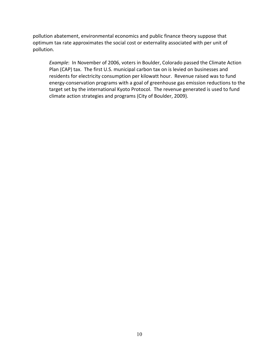pollution abatement, environmental economics and public finance theory suppose that optimum tax rate approximates the social cost or externality associated with per unit of pollution.

*Example*: In November of 2006, voters in Boulder, Colorado passed the Climate Action Plan (CAP) tax. The first U.S. municipal carbon tax on is levied on businesses and residents for electricity consumption per kilowatt hour. Revenue raised was to fund energy‐conservation programs with a goal of greenhouse gas emission reductions to the target set by the international Kyoto Protocol. The revenue generated is used to fund climate action strategies and programs (City of Boulder, 2009).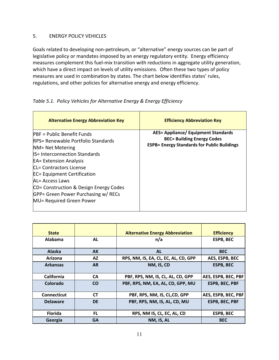#### 5. ENERGY POLICY VEHICLES

Goals related to developing non‐petroleum, or "alternative" energy sources can be part of legislative policy or mandates imposed by an energy regulatory entity. Energy efficiency measures complement this fuel‐mix transition with reductions in aggregate utility generation, which have a direct impact on levels of utility emissions. Often these two types of policy measures are used in combination by states. The chart below identifies states' rules, regulations, and other policies for alternative energy and energy efficiency.

#### *Table 5.1. Policy Vehicles for Alternative Energy & Energy Efficiency*

| <b>Alternative Energy Abbreviation Key</b>                                                                                                                                                                                                                                                                                                                                   | <b>Efficiency Abbreviation Key</b>                                                                                                    |
|------------------------------------------------------------------------------------------------------------------------------------------------------------------------------------------------------------------------------------------------------------------------------------------------------------------------------------------------------------------------------|---------------------------------------------------------------------------------------------------------------------------------------|
| <b>PBF</b> = Public Benefit Funds<br>RPS= Renewable Portfolio Standards<br>NM= Net Metering<br><b>IS= Interconnection Standards</b><br><b>EA= Extension Analysis</b><br><b>CL= Contractors License</b><br><b>EC= Equipment Certification</b><br>AL= Access Laws<br>CD= Construction & Design Energy Codes<br>GPP= Green Power Purchasing w/ RECs<br>MU= Required Green Power | <b>AES= Appliance/ Equipment Standards</b><br><b>BEC= Building Energy Codes</b><br><b>ESPB= Energy Standards for Public Buildings</b> |

| <b>State</b>       |           | <b>Alternative Energy Abbreviation</b> | <b>Efficiency</b>     |
|--------------------|-----------|----------------------------------------|-----------------------|
| <b>Alabama</b>     | <b>AL</b> | n/a                                    | <b>ESPB, BEC</b>      |
| <b>Alaska</b>      | AK        | <b>AL</b>                              | <b>BEC</b>            |
| Arizona            | AZ        | RPS, NM, IS, EA, CL, EC, AL, CD, GPP   | AES, ESPB, BEC        |
| <b>Arkansas</b>    | <b>AR</b> | NM, IS, CD                             | <b>ESPB, BEC</b>      |
| <b>California</b>  | <b>CA</b> | PBF, RPS, NM, IS, CL, AL, CD, GPP      | AES, ESPB, BEC, PBF   |
| Colorado           | <b>CO</b> | PBF, RPS, NM, EA, AL, CD, GPP, MU      | <b>ESPB, BEC, PBF</b> |
| <b>Connecticut</b> | <b>CT</b> | PBF, RPS, NM, IS, CL,CD, GPP           | AES, ESPB, BEC, PBF   |
| <b>Delaware</b>    | <b>DE</b> | PBF, RPS, NM, IS, AL, CD, MU           | <b>ESPB, BEC, PBF</b> |
| <b>Florida</b>     | <b>FL</b> | RPS, NM IS, CL, EC, AL, CD             | <b>ESPB, BEC</b>      |
| Georgia            | <b>GA</b> | NM, IS, AL                             | <b>BEC</b>            |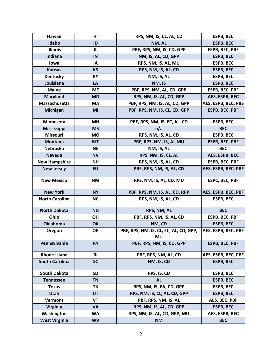| <b>Hawaii</b>         | HI        | RPS, NM, IS, CL, AL, CD                             | <b>ESPB, BEC</b>      |
|-----------------------|-----------|-----------------------------------------------------|-----------------------|
| Idaho                 | ID        | NM, AL                                              | <b>ESPB, BEC</b>      |
| <b>Illinois</b>       | IL        | PBF, RPS, NM, IS, CD, GPP                           | ESPB, BEC, PBF        |
| Indiana               | IN        | NM, IS, AL, CD, GPP                                 | <b>ESPB, BEC</b>      |
| lowa                  | IA        | RPS, NM, IS, AL, MU                                 | <b>ESPB, BEC</b>      |
| <b>Kansas</b>         | <b>KS</b> | RPS, NM, IS, AL, CD                                 | <b>ESPB, BEC</b>      |
| Kentucky              | KY        | NM, IS, AL                                          | <b>ESPB, BEC</b>      |
| Louisiana             | LA        | NM, IS                                              | <b>ESPB, BEC</b>      |
| <b>Maine</b>          | <b>ME</b> | PBF, RPS, NM, AL, CD, GPP                           | <b>ESPB, BEC, PBF</b> |
| <b>Maryland</b>       | <b>MD</b> | RPS, NM, IS, AL, CD, GPP                            | AES, ESPB, BEC        |
| <b>Massachusetts</b>  | MA        | PBF, RPS, NM, IS, AL, CD, GPP                       | AES, ESPB, BEC, PBS   |
| <b>Michigan</b>       | MI        | PBF, RPS, NM, IS, CL, CD, GPP                       | <b>ESPB, BEC, PBF</b> |
| Minnesota             | <b>MN</b> | PBF, RPS, NM, IS, EC, AL, CD                        | <b>ESPB, BEC</b>      |
| <b>Mississippi</b>    | <b>MS</b> | n/a                                                 | <b>BEC</b>            |
| <b>Missouri</b>       | <b>MO</b> | RPS, NM, IS, AL, CD                                 | <b>ESPB, BEC</b>      |
| Montana               | <b>MT</b> | PBF, RPS, NM, IS, AL, MU                            | <b>ESPB, BEC, PBF</b> |
| Nebraska              | <b>NE</b> | NM, IS, AL                                          | <b>BEC</b>            |
| <b>Nevada</b>         | <b>NV</b> | RPS, NM, IS, CL, AL                                 | AES, ESPB, BEC        |
| <b>New Hampshire</b>  | NΗ        | RPS, NM, IS, AL, CD                                 | <b>ESPB, BEC, PBF</b> |
| <b>New Jersey</b>     | <b>NJ</b> | PBF. RPS, NM, IS, AL, CD                            | AES, ESPB, BEC, PBF   |
| <b>New Mexico</b>     | <b>NM</b> | RPS, NM, IS, AL, CD, MU                             | <b>ESPC, BEC, PBF</b> |
| <b>New York</b>       | <b>NY</b> | PBF, RPS, NM, IS, AL, CD, RPP                       | AES, ESPB, BEC, PBF   |
| <b>North Carolina</b> | <b>NC</b> | RPS, NM, IS, AL, CD                                 | <b>ESPB, BEC</b>      |
| <b>North Dakota</b>   | <b>ND</b> | RPS, NM, AL                                         | <b>BEC</b>            |
| Ohio                  | <b>OH</b> | PBF, RPS, NM, IS, AL, CD                            | ESPB, BEC, PBF        |
| <b>Oklahoma</b>       | OK        | NM, CD                                              | <b>ESPB, BEC</b>      |
| Oregon                | OR        | PBF, RPS, NM, IS, CL, EC, AL, CD, GPP,<br><b>MU</b> | AES, ESPB, BEC, PBF   |
| Pennsylvania          | <b>PA</b> | PBF, RPS, NM, IS, CD, GPP                           | <b>ESPB, BEC, PBF</b> |
| <b>Rhode Island</b>   | <b>RI</b> | PBF, RPS, NM, AL, CD                                | AES, ESPB, BEC, PBF   |
| <b>South Carolina</b> | <b>SC</b> | NM, IS, CD                                          | <b>ESPB, BEC</b>      |
| <b>South Dakota</b>   | <b>SD</b> | RPS, IS, CD                                         | <b>ESPB, BEC</b>      |
| <b>Tennessee</b>      | <b>TN</b> | <b>AL</b>                                           | <b>ESPB, BEC</b>      |
| <b>Texas</b>          | <b>TX</b> | RPS, NM, IS, EA, CD, GPP                            | <b>ESPB, BEC</b>      |
| Utah                  | <b>UT</b> | RPS, NM, IS, CL, AL, CD, GPP                        | <b>ESPB, BEC</b>      |
| Vermont               | VT        | PBF, RPS, NM, IS, AL                                | AES, BEC, PBF         |
| <b>Virginia</b>       | VA        | RPS, NM, IS, AL, CD, GPP                            | <b>ESPB, BEC</b>      |
| Washington            | <b>WA</b> | RPS, NM, IS, AL, CD, GPP, MU                        | AES, ESPB, BEC        |
| <b>West Virginia</b>  | <b>WV</b> | <b>NM</b>                                           | <b>BEC</b>            |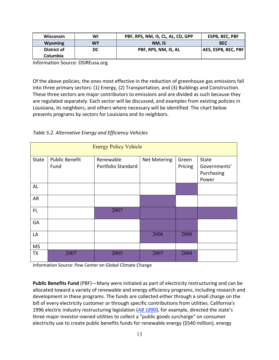| <b>Wisconsin</b>               | WI | PBF, RPS, NM, IS, CL, AL, CD, GPP | ESPB, BEC, PBF      |
|--------------------------------|----|-----------------------------------|---------------------|
| <b>Wyoming</b>                 | WY | NM. IS                            | <b>BEC</b>          |
| District of<br><b>Columbia</b> | DC | PBF, RPS, NM, IS, AL              | AES, ESPB, BEC, PBF |

Information Source: DSIREusa.org

Of the above policies, the ones most effective in the reduction of greenhouse gas emissions fall into three primary sectors: (1) Energy, (2) Transportation, and (3) Buildings and Construction. These three sectors are major contributors to emissions and are divided as such because they are regulated separately. Each sector will be discussed, and examples from existing policies in Louisiana, its neighbors, and others where necessary will be identified. The chart below presents programs by sectors for Louisiana and its neighbors.

*Table 5.2. Alternative Energy and Efficiency Vehicles*

|              |                               | <b>Energy Policy Vehicle</b>    |                     |                  |                                              |
|--------------|-------------------------------|---------------------------------|---------------------|------------------|----------------------------------------------|
| <b>State</b> | <b>Public Benefit</b><br>Fund | Renewable<br>Portfolio Standard | <b>Net Metering</b> | Green<br>Pricing | State<br>Governments'<br>Purchasing<br>Power |
| AL           |                               |                                 |                     |                  |                                              |
| AR           |                               |                                 |                     |                  |                                              |
| FL.          |                               | 2007                            |                     |                  |                                              |
| GA           |                               |                                 |                     |                  |                                              |
| LA           |                               |                                 | 2006                | 2008             |                                              |
| <b>MS</b>    |                               |                                 |                     |                  |                                              |
| TX           | 2007                          | 2005                            | 2007                | 2004             |                                              |

Information Source: Pew Center on Global Climate Change

**Public Benefits Fund** (PBF)—Many were initiated as part of electricity restructuring and can be allocated toward a variety of renewable and energy efficiency programs, including research and development in these programs. The funds are collected either through a small charge on the bill of every electricity customer or through specific contributions from utilities. California's 1996 electric industry restructuring legislation (*AB 1890*), for example, directed the state's three major investor‐owned utilities to collect a "public goods surcharge" on consumer electricity use to create public benefits funds for renewable energy (\$540 million), energy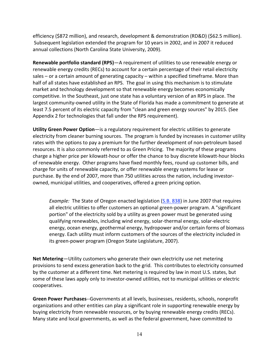efficiency (\$872 million), and research, development & demonstration (RD&D) (\$62.5 million). Subsequent legislation extended the program for 10 years in 2002, and in 2007 it reduced annual collections (North Carolina State University, 2009).

**Renewable portfolio standard (RPS)**—A requirement of utilities to use renewable energy or renewable energy credits (RECs) to account for a certain percentage of their retail electricity sales – or a certain amount of generating capacity – within a specified timeframe. More than half of all states have established an RPS. The goal in using this mechanism is to stimulate market and technology development so that renewable energy becomes economically competitive. In the Southeast, just one state has a voluntary version of an RPS in place. The largest community-owned utility in the State of Florida has made a commitment to generate at least 7.5 percent of its electric capacity from "clean and green energy sources" by 2015. (See Appendix 2 for technologies that fall under the RPS requirement).

**Utility Green Power Option**—is a regulatory requirement for electric utilities to generate electricity from cleaner burning sources. The program is funded by increases in customer utility rates with the options to pay a premium for the further development of non‐petroleum based resources. It is also commonly referred to as Green Pricing. The majority of these programs charge a higher price per kilowatt‐hour or offer the chance to buy discrete kilowatt‐hour blocks of renewable energy. Other programs have fixed monthly fees, round up customer bills, and charge for units of renewable capacity, or offer renewable energy systems for lease or purchase. By the end of 2007, more than 750 utilities across the nation, including investor‐ owned, municipal utilities, and cooperatives, offered a green pricing option.

*Example:* The State of Oregon enacted legislation (S.B. 838) in June 2007 that requires all electric utilities to offer customers an optional green‐power program. A "significant portion" of the electricity sold by a utility as green power must be generated using qualifying renewables, including wind energy, solar‐thermal energy, solar‐electric energy, ocean energy, geothermal energy, hydropower and/or certain forms of biomass energy. Each utility must inform customers of the sources of the electricity included in its green‐power program (Oregon State Legislature, 2007).

**Net Metering**—Utility customers who generate their own electricity use net metering provisions to send excess generation back to the grid. This contributes to electricity consumed by the customer at a different time. Net metering is required by law in most U.S. states, but some of these laws apply only to investor-owned utilities, not to municipal utilities or electric cooperatives.

**Green Power Purchases**‐‐Governments at all levels, businesses, residents, schools, nonprofit organizations and other entities can play a significant role in supporting renewable energy by buying electricity from renewable resources, or by buying renewable energy credits (RECs). Many state and local governments, as well as the federal government, have committed to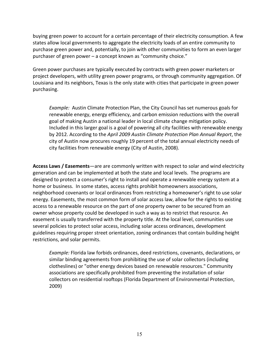buying green power to account for a certain percentage of their electricity consumption. A few states allow local governments to aggregate the electricity loads of an entire community to purchase green power and, potentially, to join with other communities to form an even larger purchaser of green power – a concept known as "community choice."

Green power purchases are typically executed by contracts with green power marketers or project developers, with utility green power programs, or through community aggregation. Of Louisiana and its neighbors, Texas is the only state with cities that participate in green power purchasing.

*Example:* Austin Climate Protection Plan, the City Council has set numerous goals for renewable energy, energy efficiency, and carbon emission reductions with the overall goal of making Austin a national leader in local climate change mitigation policy. Included in this larger goal is a goal of powering all city facilities with renewable energy by 2012. According to the *April 2009 Austin Climate Protection Plan Annual Report*, the city of Austin now procures roughly 19 percent of the total annual electricity needs of city facilities from renewable energy (City of Austin, 2008).

**Access Laws / Easements**—are are commonly written with respect to solar and wind electricity generation and can be implemented at both the state and local levels. The programs are designed to protect a consumer's right to install and operate a renewable energy system at a home or business. In some states, access rights prohibit homeowners associations, neighborhood covenants or local ordinances from restricting a homeowner's right to use solar energy. Easements, the most common form of solar access law, allow for the rights to existing access to a renewable resource on the part of one property owner to be secured from an owner whose property could be developed in such a way as to restrict that resource. An easement is usually transferred with the property title. At the local level, communities use several policies to protect solar access, including solar access ordinances, development guidelines requiring proper street orientation, zoning ordinances that contain building height restrictions, and solar permits.

*Example:* Florida law forbids ordinances, deed restrictions, covenants, declarations, or similar binding agreements from prohibiting the use of solar collectors (including clotheslines) or "other energy devices based on renewable resources." Community associations are specifically prohibited from preventing the installation of solar collectors on residential rooftops (Florida Department of Environmental Protection, 2009)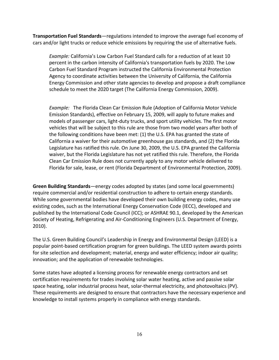**Transportation Fuel Standards**—regulations intended to improve the average fuel economy of cars and/or light trucks or reduce vehicle emissions by requiring the use of alternative fuels.

*Example:* California's Low Carbon Fuel Standard calls for a reduction of at least 10 percent in the carbon intensity of California's transportation fuels by 2020. The Low Carbon Fuel Standard Program instructed the California Environmental Protection Agency to coordinate activities between the University of California, the California Energy Commission and other state agencies to develop and propose a draft compliance schedule to meet the 2020 target (The California Energy Commission, 2009).

*Example:* The Florida Clean Car Emission Rule (Adoption of California Motor Vehicle Emission Standards), effective on February 15, 2009, will apply to future makes and models of passenger cars, light‐duty trucks, and sport utility vehicles. The first motor vehicles that will be subject to this rule are those from two model years after both of the following conditions have been met: (1) the U.S. EPA has granted the state of California a waiver for their automotive greenhouse gas standards, and (2) the Florida Legislature has ratified this rule. On June 30, 2009, the U.S. EPA granted the California waiver, but the Florida Legislature has not yet ratified this rule. Therefore, the Florida Clean Car Emission Rule does not currently apply to any motor vehicle delivered to Florida for sale, lease, or rent (Florida Department of Environmental Protection, 2009).

**Green Building Standards**—energy codes adopted by states (and some local governments) require commercial and/or residential construction to adhere to certain energy standards. While some governmental bodies have developed their own building energy codes, many use existing codes, such as the International Energy Conservation Code (IECC), developed and published by the International Code Council (ICC); or ASHRAE 90.1, developed by the American Society of Heating, Refrigerating and Air‐Conditioning Engineers (U.S. Department of Energy, 2010).

The U.S. Green Building Council's Leadership in Energy and Environmental Design (LEED) is a popular point‐based certification program for green buildings. The LEED system awards points for site selection and development; material, energy and water efficiency; indoor air quality; innovation; and the application of renewable technologies.

Some states have adopted a licensing process for renewable energy contractors and set certification requirements for trades involving solar water heating, active and passive solar space heating, solar industrial process heat, solar-thermal electricity, and photovoltaics (PV). These requirements are designed to ensure that contractors have the necessary experience and knowledge to install systems properly in compliance with energy standards.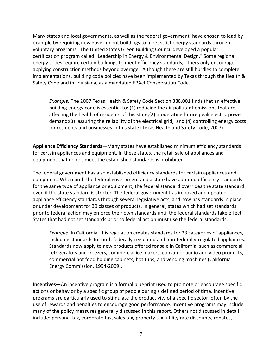Many states and local governments, as well as the federal government, have chosen to lead by example by requiring new government buildings to meet strict energy standards through voluntary programs. The United States Green Building Council developed a popular certification program called "Leadership in Energy & Environmental Design." Some regional energy codes require certain buildings to meet efficiency standards, others only encourage applying construction methods beyond average. Although there are still hurdles to complete implementations, building code policies have been implemented by Texas through the Health & Safety Code and in Louisiana, as a mandated EPAct Conservation Code.

*Example:* The 2007 Texas Health & Safety Code Section 388.001 finds that an effective building energy code is essential to: (1) reducing the air pollutant emissions that are affecting the health of residents of this state;(2) moderating future peak electric power demand;(3) assuring the reliability of the electrical grid; and (4) controlling energy costs for residents and businesses in this state (Texas Health and Safety Code, 2007).

**Appliance Efficiency Standards**—Many states have established minimum efficiency standards for certain appliances and equipment. In these states, the retail sale of appliances and equipment that do not meet the established standards is prohibited.

The federal government has also established efficiency standards for certain appliances and equipment. When both the federal government and a state have adopted efficiency standards for the same type of appliance or equipment, the federal standard overrides the state standard even if the state standard is stricter. The federal government has imposed and updated appliance efficiency standards through several legislative acts, and now has standards in place or under development for 30 classes of products. In general, states which had set standards prior to federal action may enforce their own standards until the federal standards take effect. States that had not set standards prior to federal action must use the federal standards.

*Example:* In California, this regulation creates standards for 23 categories of appliances, including standards for both federally‐regulated and non‐federally‐regulated appliances. Standards now apply to new products offered for sale in California, such as commercial refrigerators and freezers, commercial ice makers, consumer audio and video products, commercial hot food holding cabinets, hot tubs, and vending machines (California Energy Commission, 1994‐2009).

**Incentives**—An incentive program is a formal blueprint used to promote or encourage specific actions or behavior by a specific group of people during a defined period of time. Incentive programs are particularly used to stimulate the productivity of a specific sector, often by the use of rewards and penalties to encourage good performance. Incentive programs may include many of the policy measures generally discussed in this report. Others not discussed in detail include: personal tax, corporate tax, sales tax, property tax, utility rate discounts, rebates,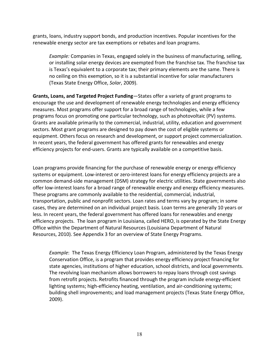grants, loans, industry support bonds, and production incentives. Popular incentives for the renewable energy sector are tax exemptions or rebates and loan programs.

*Example:* Companies in Texas, engaged solely in the business of manufacturing, selling, or installing solar energy devices are exempted from the franchise tax. The franchise tax is Texas's equivalent to a corporate tax; their primary elements are the same. There is no ceiling on this exemption, so it is a substantial incentive for solar manufacturers (Texas State Energy Office, *Solar*, 2009).

**Grants, Loans, and Targeted Project Funding**—States offer a variety of grant programs to encourage the use and development of renewable energy technologies and energy efficiency measures. Most programs offer support for a broad range of technologies, while a few programs focus on promoting one particular technology, such as photovoltaic (PV) systems. Grants are available primarily to the commercial, industrial, utility, education and government sectors. Most grant programs are designed to pay down the cost of eligible systems or equipment. Others focus on research and development, or support project commercialization. In recent years, the federal government has offered grants for renewables and energy efficiency projects for end‐users. Grants are typically available on a competitive basis.

Loan programs provide financing for the purchase of renewable energy or energy efficiency systems or equipment. Low-interest or zero-interest loans for energy efficiency projects are a common demand‐side management (DSM) strategy for electric utilities. State governments also offer low‐interest loans for a broad range of renewable energy and energy efficiency measures. These programs are commonly available to the residential, commercial, industrial, transportation, public and nonprofit sectors. Loan rates and terms vary by program; in some cases, they are determined on an individual project basis. Loan terms are generally 10 years or less. In recent years, the federal government has offered loans for renewables and energy efficiency projects. The loan program in Louisiana, called HERO, is operated by the State Energy Office within the Department of Natural Resources (Louisiana Department of Natural Resources, 2010). See Appendix 3 for an overview of State Energy Programs.

*Example*: The Texas Energy Efficiency Loan Program, administered by the Texas Energy Conservation Office, is a program that provides energy efficiency project financing for state agencies, institutions of higher education, school districts, and local governments. The revolving loan mechanism allows borrowers to repay loans through cost savings from retrofit projects. Retrofits financed through the program include energy‐efficient lighting systems; high‐efficiency heating, ventilation, and air‐conditioning systems; building shell improvements; and load management projects (Texas State Energy Office, 2009).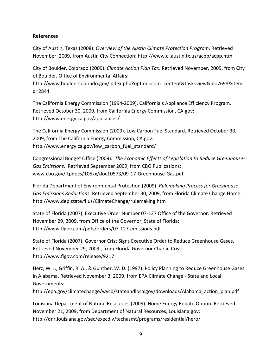#### **References**

City of Austin, Texas (2008). *Overview of the Austin Climate Protection Program*. Retrieved November, 2009, from Austin City Connection: http://www.ci.austin.tx.us/acpp/acpp.htm

City of Boulder, Colorado (2009). *Climate Action Plan Tax*. Retrieved November, 2009, from City of Boulder, Office of Environmental Affairs:

http://www.bouldercolorado.gov/index.php?option=com\_content&task=view&id=7698&Itemi d=2844

The California Energy Commission (1994‐2009). California's Appliance Efficiency Program. Retrieved October 30, 2009, from California Energy Commission, CA.gov: http://www.energy.ca.gov/appliances/

The California Energy Commission (2009). Low Carbon Fuel Standard. Retrieved October 30, 2009, from The California Energy Commission, CA.gov: http://www.energy.ca.gov/low carbon fuel standard/

Congressional Budget Office (2009). *The Economic Effects of Legislation to Reduce Greenhouse‐ Gas Emissions*. Retrieved September 2009, from CBO Publications: www.cbo.gov/ftpdocs/105xx/doc10573/09‐17‐Greenhouse‐Gas.pdf

Florida Department of Environmental Protection (2009). *Rulemaking Process for Greenhouse Gas Emissions Reductions*. Retrieved September 30, 2009, from Florida Climate Change Home: http://www.dep.state.fl.us/ClimateChange/rulemaking.htm

State of Florida (2007). Executive Order Number 07‐127 Office of the Governor. Retrieved November 29, 2009, from Office of the Governor, State of Florida: http://www.flgov.com/pdfs/orders/07‐127‐emissions.pdf

State of Florida (2007). Governor Crist Signs Executive Order to Reduce Greenhouse Gases. Retrieved November 29, 2009 , from Florida Governor Charlie Crist: http://www.flgov.com/release/9217

Herz, W. J., Griffin, R. A., & Gunther, W. D. (1997). Policy Planning to Reduce Greenhouse Gases in Alabama. Retrieved November 3, 2009, from EPA Climate Change ‐ State and Local Governments: http://epa.gov/climatechange/wycd/stateandlocalgov/downloads/Alabama\_action\_plan.pdf

Louisiana Department of Natural Resources (2009). Home Energy Rebate Option. Retrieved November 21, 2009, from Department of Natural Resources, Louisiana.gov: http://dnr.louisiana.gov/sec/execdiv/techasmt/programs/residential/hero/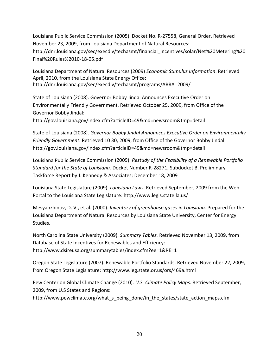Louisiana Public Service Commission (2005). Docket No. R‐27558, General Order. Retrieved November 23, 2009, from Louisiana Department of Natural Resources: http://dnr.louisiana.gov/sec/execdiv/techasmt/financial\_incentives/solar/Net%20Metering%20 Final%20Rules%2010‐18‐05.pdf

Louisiana Department of Natural Resources (2009) *Economic Stimulus Information*. Retrieved April, 2010, from the Louisiana State Energy Office: http://dnr.louisiana.gov/sec/execdiv/techasmt/programs/ARRA\_2009/

State of Louisiana (2008). Governor Bobby Jindal Announces Executive Order on Environmentally Friendly Government. Retrieved October 25, 2009, from Office of the Governor Bobby Jindal:

http://gov.louisiana.gov/index.cfm?articleID=49&md=newsroom&tmp=detail

State of Louisiana (2008). *Governor Bobby Jindal Announces Executive Order on Environmentally Friendly Government*. Retrieved 10 30, 2009, from Office of the Governor Bobby Jindal: http://gov.louisiana.gov/index.cfm?articleID=49&md=newsroom&tmp=detail

Louisiana Public Service Commission (2009). *Restudy of the Feasibility of a Renewable Portfolio Standard for the State of Louisiana.* Docket Number R‐28271, Subdocket B. Preliminary Taskforce Report by J. Kennedy & Associates; December 18, 2009

Louisiana State Legislature (2009). *Louisiana Laws.* Retrieved September, 2009 from the Web Portal to the Louisiana State Legislature: http://www.legis.state.la.us/

Mesyanzhinov, D. V., et al. (2000). *Inventory of greenhouse gases in Louisiana.* Prepared for the Louisiana Department of Natural Resources by Louisiana State University, Center for Energy Studies.

North Carolina State University (2009). *Summary Tables.* Retrieved November 13, 2009, from Database of State Incentives for Renewables and Efficiency: http://www.dsireusa.org/summarytables/index.cfm?ee=1&RE=1

Oregon State Legislature (2007). Renewable Portfolio Standards. Retrieved November 22, 2009, from Oregon State Legislature: http://www.leg.state.or.us/ors/469a.html

Pew Center on Global Climate Change (2010). *U.S. Climate Policy Maps.* Retrieved September, 2009, from U.S States and Regions:

http://www.pewclimate.org/what\_s\_being\_done/in\_the\_states/state\_action\_maps.cfm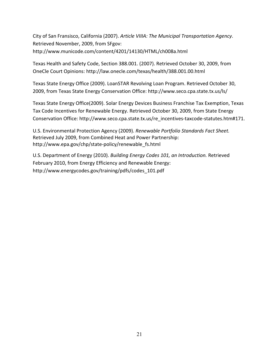City of San Fransisco, California (2007). *Article VIIIA: The Municipal Transportation Agency*. Retrieved November, 2009, from SFgov: http://www.municode.com/content/4201/14130/HTML/ch008a.html

Texas Health and Safety Code, Section 388.001. (2007). Retrieved October 30, 2009, from OneCle Court Opinions: http://law.onecle.com/texas/health/388.001.00.html

Texas State Energy Office (2009). LoanSTAR Revolving Loan Program. Retrieved October 30, 2009, from Texas State Energy Conservation Office: http://www.seco.cpa.state.tx.us/ls/

Texas State Energy Office(2009). Solar Energy Devices Business Franchise Tax Exemption, Texas Tax Code Incentives for Renewable Energy. Retrieved October 30, 2009, from State Energy Conservation Office: http://www.seco.cpa.state.tx.us/re\_incentives-taxcode-statutes.htm#171.

U.S. Environmental Protection Agency (2009). *Renewable Portfolio Standards Fact Sheet.* Retrieved July 2009, from Combined Heat and Power Partnership: http://www.epa.gov/chp/state‐policy/renewable\_fs.html

U.S. Department of Energy (2010). *Building Energy Codes 101, an Introduction.* Retrieved February 2010, from Energy Efficiency and Renewable Energy: http://www.energycodes.gov/training/pdfs/codes\_101.pdf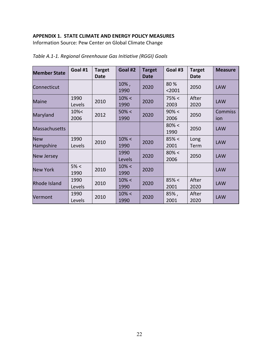## **APPENDIX 1. STATE CLIMATE AND ENERGY POLICY MEASURES**

Information Source: Pew Center on Global Climate Change

| <b>Member State</b>     | Goal #1        | <b>Target</b><br>Date | Goal #2        | <b>Target</b><br><b>Date</b> | Goal #3          | <b>Target</b><br><b>Date</b> | <b>Measure</b> |
|-------------------------|----------------|-----------------------|----------------|------------------------------|------------------|------------------------------|----------------|
| Connecticut             |                |                       | 10%,<br>1990   | 2020                         | 80%<br>$2001$    | 2050                         | <b>LAW</b>     |
| <b>Maine</b>            | 1990<br>Levels | 2010                  | 10% <<br>1990  | 2020                         | 75% <<br>2003    | After<br>2020                | <b>LAW</b>     |
| Maryland                | 10% <<br>2006  | 2012                  | 50% <<br>1990  | 2020                         | 90% <<br>2006    | 2050                         | Commiss<br>ion |
| <b>Massachusetts</b>    |                |                       |                |                              | $80\% <$<br>1990 | 2050                         | <b>LAW</b>     |
| <b>New</b><br>Hampshire | 1990<br>Levels | 2010                  | 10% <<br>1990  | 2020                         | 85% <<br>2001    | Long<br>Term                 | <b>LAW</b>     |
| <b>New Jersey</b>       |                |                       | 1990<br>Levels | 2020                         | $80\% <$<br>2006 | 2050                         | <b>LAW</b>     |
| <b>New York</b>         | 5% <<br>1990   | 2010                  | 10% <<br>1990  | 2020                         |                  |                              | <b>LAW</b>     |
| Rhode Island            | 1990<br>Levels | 2010                  | 10% <<br>1990  | 2020                         | 85% <<br>2001    | After<br>2020                | <b>LAW</b>     |
| Vermont                 | 1990<br>Levels | 2010                  | 10% <<br>1990  | 2020                         | 85%,<br>2001     | After<br>2020                | <b>LAW</b>     |

*Table A.1‐1. Regional Greenhouse Gas Initiative (RGGI) Goals*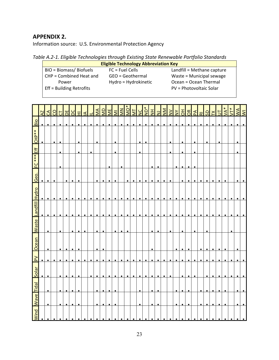## **APPENDIX 2.**

Information source: U.S. Environmental Protection Agency

*Table A.2‐1. Eligible Technologies through Existing State Renewable Portfolio Standards* 

|                          | <b>Eligible Technology Abbreviation Key</b> |                            |
|--------------------------|---------------------------------------------|----------------------------|
| BIO = Biomass/ Biofuels  | $FC = Fuel Cells$                           | Landfill = Methane capture |
| CHP = Combined Heat and  | GEO = Geothermal                            | Waste = Municipal sewage   |
| Power                    | Hydro = Hydrokinetic                        | Ocean = Ocean Thermal      |
| Eff = Building Retrofits |                                             | PV = Photovoltaic Solar    |
|                          |                                             |                            |

| Solar<br>Tidal<br><b>Wave</b>                                              |  | $\geq$ | Ocean | <b>Waste</b> | Landfill Hydro |           | Geo.      | 잎         | 出 | čHp** | Bio       |                           |
|----------------------------------------------------------------------------|--|--------|-------|--------------|----------------|-----------|-----------|-----------|---|-------|-----------|---------------------------|
| $\bullet$<br>$\bullet$                                                     |  |        |       |              | $\bullet$      | $\bullet$ |           |           |   |       | $\bullet$ | $\overline{A}$            |
| $\bullet$<br>$\bullet$<br>$\bullet$<br>$\bullet$<br>$\bullet$<br>$\bullet$ |  |        |       |              | $\bullet$      | $\bullet$ | $\bullet$ |           |   |       | $\bullet$ | $\mathcal{L}$             |
| $\bullet$                                                                  |  |        |       |              | $\bullet$      | $\bullet$ | $\bullet$ |           |   |       | $\bullet$ | S                         |
| $\bullet$                                                                  |  |        |       |              | ٠              | $\bullet$ |           |           |   |       | ٠         | $\overline{C}$            |
| $\bullet$                                                                  |  |        |       |              | ٠              | $\bullet$ |           |           |   |       | $\bullet$ | DE                        |
| $\bullet$                                                                  |  |        |       |              | ٠              | $\bullet$ |           |           |   |       | $\bullet$ | DC                        |
| $\bullet$<br>$\bullet$<br>٠<br>٠                                           |  |        |       |              | $\bullet$      | $\bullet$ |           |           | ٠ |       | $\bullet$ | 田                         |
| $\bullet$                                                                  |  |        |       |              | $\bullet$      | $\bullet$ |           |           |   |       | $\bullet$ | $\Delta$                  |
| $\bullet$<br>$\bullet$                                                     |  |        |       |              | $\bullet$      | $\bullet$ |           |           | ٠ |       | $\bullet$ | ᆜ                         |
| $\bullet$<br>$\bullet$<br>$\bullet$<br>٠                                   |  |        |       |              | $\bullet$      | $\bullet$ | $\bullet$ |           |   |       | ٠         | MA                        |
| ٠<br>$\bullet$<br>٠<br>٠<br>$\bullet$                                      |  |        |       |              | ٠              | $\bullet$ | $\bullet$ |           |   |       | ٠         | QM                        |
| $\bullet$<br>٠                                                             |  |        |       |              | $\bullet$      | $\bullet$ | ٠         | $\bullet$ |   |       |           | M <sub>E</sub>            |
| $\bullet$<br>$\bullet$<br>٠<br>٠                                           |  |        |       |              | $\bullet$      | $\bullet$ | $\bullet$ |           | ٠ |       | $\bullet$ | $\overline{\Sigma}$       |
| ٠                                                                          |  |        |       |              | $\bullet$      | $\bullet$ |           |           |   |       | $\bullet$ | <b>NN</b>                 |
| ٠<br>٠<br>٠                                                                |  |        |       |              | $\bullet$      | $\bullet$ | $\bullet$ |           |   |       | ٠         | <b>MO*</b>                |
| $\bullet$<br>٠                                                             |  |        |       |              | $\bullet$      | $\bullet$ | $\bullet$ |           |   |       | ٠         | $\overline{\overline{z}}$ |
| $\bullet$<br>$\bullet$<br>$\bullet$<br>$\bullet$                           |  |        |       |              | $\bullet$      | $\bullet$ | $\bullet$ |           | ٠ |       | $\bullet$ | $\Sigma$                  |
| $\bullet$                                                                  |  |        |       |              | $\bullet$      | $\bullet$ |           |           |   |       |           | <b>ND*</b>                |
| ٠<br>$\bullet$<br>$\bullet$<br>٠<br>$\bullet$                              |  |        |       |              | $\bullet$      | $\bullet$ |           | $\bullet$ |   |       | ٠         | $\overline{z}$            |
|                                                                            |  |        |       |              | $\bullet$      | $\bullet$ | $\bullet$ | $\bullet$ |   |       | $\bullet$ | $\overline{z}$            |
| $\bullet$<br>٠                                                             |  |        |       |              | ٠              | $\bullet$ | $\bullet$ |           |   |       | $\bullet$ | $\overline{\mathsf{M}}$   |
| $\bullet$<br>٠                                                             |  |        |       |              | $\bullet$      | $\bullet$ | $\bullet$ |           |   |       | $\bullet$ | $\geq$                    |
| $\bullet$<br>٠<br>٠<br>٠                                                   |  |        |       |              | $\bullet$      | $\bullet$ |           | ٠         |   |       | ٠         | $\overline{M}$            |
| $\bullet$<br>$\bullet$<br>٠<br>٠<br>٠                                      |  |        |       |              | $\bullet$      | $\bullet$ | $\bullet$ | $\bullet$ | ٠ | ٠     | $\bullet$ | $\overline{5}$            |
| $\bullet$<br>$\bullet$<br>٠<br>$\bullet$<br>$\bullet$                      |  |        |       |              | $\bullet$      | $\bullet$ | $\bullet$ | $\bullet$ |   |       | $\bullet$ | $\sigma$                  |
| $\bullet$<br>٠                                                             |  |        |       |              | $\bullet$      | $\bullet$ | $\bullet$ |           |   |       |           | PA                        |
| $\bullet$<br>$\bullet$<br>٠<br>٠                                           |  |        |       |              | $\bullet$      | ٠         |           |           |   |       | ٠         | $\overline{\mathbf{c}}$   |
| $\bullet$                                                                  |  |        |       |              | $\bullet$      | $\bullet$ |           |           |   |       | ٠         | <b>GS</b>                 |
| $\bullet$                                                                  |  |        |       |              | $\bullet$      | $\bullet$ |           |           |   |       | $\bullet$ | K                         |
| $\bullet$<br>$\bullet$<br>٠                                                |  |        |       |              | $\bullet$      | $\bullet$ |           |           |   |       | $\bullet$ | 5                         |
| $\bullet$<br>$\bullet$<br>٠<br>٠<br>٠                                      |  |        |       |              | $\bullet$      | $\bullet$ | $\bullet$ |           |   |       | ٠         | $\overline{M}$            |
| $\bullet$<br>$\bullet$                                                     |  |        |       |              | $\bullet$      | $\bullet$ |           |           |   |       | $\bullet$ | $5^*$                     |
| $\bullet$<br>$\bullet$<br>$\bullet$<br>$\bullet$                           |  |        |       |              | $\bullet$      | $\bullet$ |           |           |   |       | $\bullet$ | $\overline{\mathsf{W}}$   |
|                                                                            |  |        |       |              |                |           |           |           |   |       |           | $\overline{\geq}$         |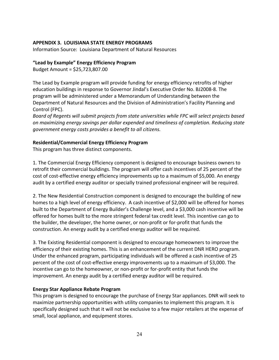#### **APPENDIX 3. LOUISIANA STATE ENERGY PROGRAMS**

Information Source: Louisiana Department of Natural Resources

#### **"Lead by Example" Energy Efficiency Program**

Budget Amount = \$25,723,807.00

The Lead by Example program will provide funding for energy efficiency retrofits of higher education buildings in response to Governor Jindal's Executive Order No. BJ2008‐8. The program will be administered under a Memorandum of Understanding between the Department of Natural Resources and the Division of Administration's Facility Planning and Control (FPC).

*Board of Regents will submit projects from state universities while FPC will select projects based on maximizing energy savings per dollar expended and timeliness of completion. Reducing state government energy costs provides a benefit to all citizens.*

#### **Residential/Commercial Energy Efficiency Program**

This program has three distinct components.

1. The Commercial Energy Efficiency component is designed to encourage business owners to retrofit their commercial buildings. The program will offer cash incentives of 25 percent of the cost of cost‐effective energy efficiency improvements up to a maximum of \$5,000. An energy audit by a certified energy auditor or specially trained professional engineer will be required.

2. The New Residential Construction component is designed to encourage the building of new homes to a high level of energy efficiency. A cash incentive of \$2,000 will be offered for homes built to the Department of Energy Builder's Challenge level, and a \$3,000 cash incentive will be offered for homes built to the more stringent federal tax credit level. This incentive can go to the builder, the developer, the home owner, or non‐profit or for‐profit that funds the construction. An energy audit by a certified energy auditor will be required.

3. The Existing Residential component is designed to encourage homeowners to improve the efficiency of their existing homes. This is an enhancement of the current DNR HERO program. Under the enhanced program, participating individuals will be offered a cash incentive of 25 percent of the cost of cost‐effective energy improvements up to a maximum of \$3,000. The incentive can go to the homeowner, or non‐profit or for‐profit entity that funds the improvement. An energy audit by a certified energy auditor will be required.

#### **Energy Star Appliance Rebate Program**

This program is designed to encourage the purchase of Energy Star appliances. DNR will seek to maximize partnership opportunities with utility companies to implement this program. It is specifically designed such that it will not be exclusive to a few major retailers at the expense of small, local appliance, and equipment stores.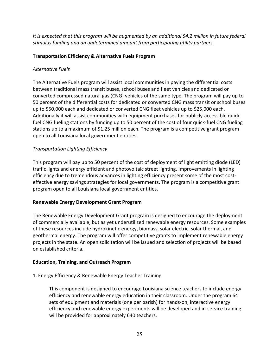*It is expected that this program will be augmented by an additional \$4.2 million in future federal stimulus funding and an undetermined amount from participating utility partners.*

#### **Transportation Efficiency & Alternative Fuels Program**

#### *Alternative Fuels*

The Alternative Fuels program will assist local communities in paying the differential costs between traditional mass transit buses, school buses and fleet vehicles and dedicated or converted compressed natural gas (CNG) vehicles of the same type. The program will pay up to 50 percent of the differential costs for dedicated or converted CNG mass transit or school buses up to \$50,000 each and dedicated or converted CNG fleet vehicles up to \$25,000 each. Additionally it will assist communities with equipment purchases for publicly‐accessible quick fuel CNG fueling stations by funding up to 50 percent of the cost of four quick‐fuel CNG fueling stations up to a maximum of \$1.25 million each. The program is a competitive grant program open to all Louisiana local government entities.

## *Transportation Lighting Efficiency*

This program will pay up to 50 percent of the cost of deployment of light emitting diode (LED) traffic lights and energy efficient and photovoltaic street lighting. Improvements in lighting efficiency due to tremendous advances in lighting efficiency present some of the most cost‐ effective energy savings strategies for local governments. The program is a competitive grant program open to all Louisiana local government entities.

#### **Renewable Energy Development Grant Program**

The Renewable Energy Development Grant program is designed to encourage the deployment of commercially available, but as yet underutilized renewable energy resources. Some examples of these resources include hydrokinetic energy, biomass, solar electric, solar thermal, and geothermal energy. The program will offer competitive grants to implement renewable energy projects in the state. An open solicitation will be issued and selection of projects will be based on established criteria.

#### **Education, Training, and Outreach Program**

#### 1. Energy Efficiency & Renewable Energy Teacher Training

This component is designed to encourage Louisiana science teachers to include energy efficiency and renewable energy education in their classroom. Under the program 64 sets of equipment and materials (one per parish) for hands-on, interactive energy efficiency and renewable energy experiments will be developed and in‐service training will be provided for approximately 640 teachers.